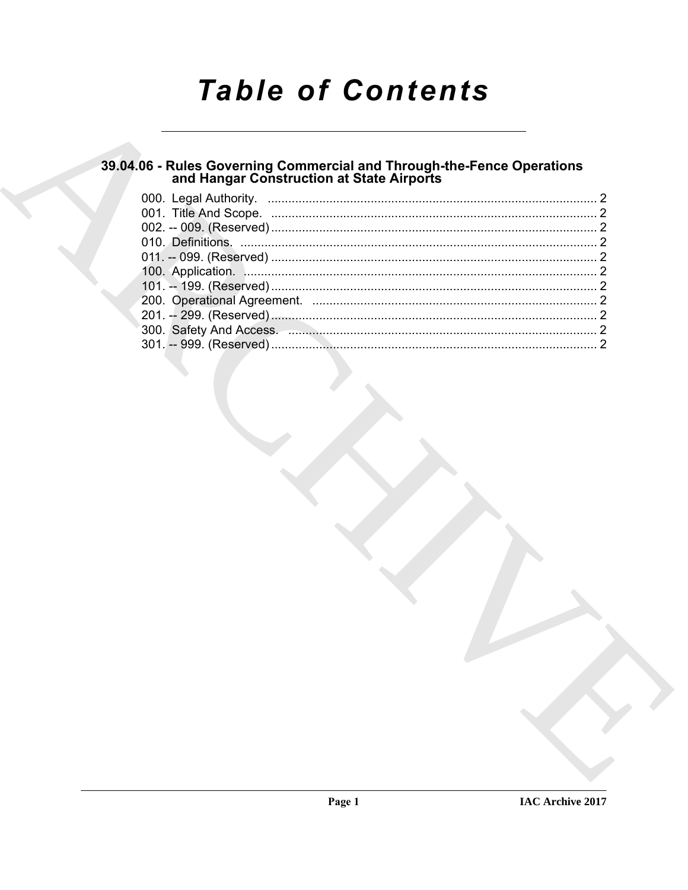# **Table of Contents**

## 39.04.06 - Rules Governing Commercial and Through-the-Fence Operations<br>and Hangar Construction at State Airports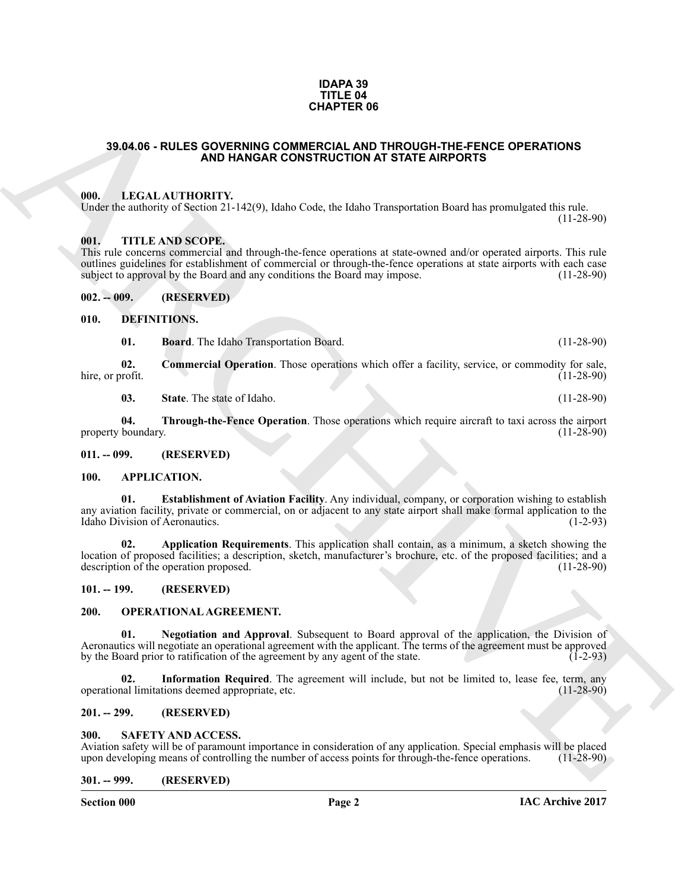#### **IDAPA 39 TITLE 04 CHAPTER 06**

### <span id="page-1-0"></span>**39.04.06 - RULES GOVERNING COMMERCIAL AND THROUGH-THE-FENCE OPERATIONS AND HANGAR CONSTRUCTION AT STATE AIRPORTS**

### <span id="page-1-1"></span>**000. LEGAL AUTHORITY.**

Under the authority of Section 21-142(9), Idaho Code, the Idaho Transportation Board has promulgated this rule.

### <span id="page-1-2"></span>**001. TITLE AND SCOPE.**

This rule concerns commercial and through-the-fence operations at state-owned and/or operated airports. This rule outlines guidelines for establishment of commercial or through-the-fence operations at state airports with each case<br>subject to approval by the Board and any conditions the Board may impose. (11-28-90) subject to approval by the Board and any conditions the Board may impose.

<span id="page-1-3"></span>**002. -- 009. (RESERVED)**

#### <span id="page-1-4"></span>**010. DEFINITIONS.**

<span id="page-1-16"></span><span id="page-1-15"></span>**01. Board**. The Idaho Transportation Board. (11-28-90)

**02.** Commercial Operation. Those operations which offer a facility, service, or commodity for sale, rofit. (11-28-90) hire, or profit.

<span id="page-1-21"></span>**03.** State. The state of Idaho. (11-28-90)

**04. Through-the-Fence Operation**. Those operations which require aircraft to taxi across the airport boundary. (11-28-90) property boundary.

#### <span id="page-1-5"></span>**011. -- 099. (RESERVED)**

#### <span id="page-1-14"></span><span id="page-1-12"></span><span id="page-1-6"></span>**100. APPLICATION.**

<span id="page-1-13"></span>**01. Establishment of Aviation Facility**. Any individual, company, or corporation wishing to establish any aviation facility, private or commercial, on or adjacent to any state airport shall make formal application to the Idaho Division of Aeronautics. (1-2-93)

**33.04.06 - RULES GOVERNING COMETRICAL DIFFICULAR TELEFORE OF ERATIONS<br>
ARCHIVES AND HANGAR CONSTRUCTION AT STATE ARPORTS<br>
UNIL LEGAL AUTIONITY. 1:339, Main Cole, the Idaho Transposition Board has premalgated the rate<br>
Un 02. Application Requirements**. This application shall contain, as a minimum, a sketch showing the location of proposed facilities; a description, sketch, manufacturer's brochure, etc. of the proposed facilities; and a description of the operation proposed.

## <span id="page-1-7"></span>**101. -- 199. (RESERVED)**

## <span id="page-1-17"></span><span id="page-1-8"></span>**200. OPERATIONAL AGREEMENT.**

<span id="page-1-19"></span>**01. Negotiation and Approval**. Subsequent to Board approval of the application, the Division of Aeronautics will negotiate an operational agreement with the applicant. The terms of the agreement must be approved<br>by the Board prior to ratification of the agreement by any agent of the state. by the Board prior to ratification of the agreement by any agent of the state.

<span id="page-1-18"></span>**02.** Information Required. The agreement will include, but not be limited to, lease fee, term, any hall limitations deemed appropriate, etc. operational limitations deemed appropriate, etc.

## <span id="page-1-9"></span>**201. -- 299. (RESERVED)**

#### <span id="page-1-20"></span><span id="page-1-10"></span>**SAFETY AND ACCESS.**

Aviation safety will be of paramount importance in consideration of any application. Special emphasis will be placed<br>upon developing means of controlling the number of access points for through-the-fence operations. (11-28 upon developing means of controlling the number of access points for through-the-fence operations.

#### <span id="page-1-11"></span>**301. -- 999. (RESERVED)**

**Section 000 Page 2**

 $(11-28-90)$